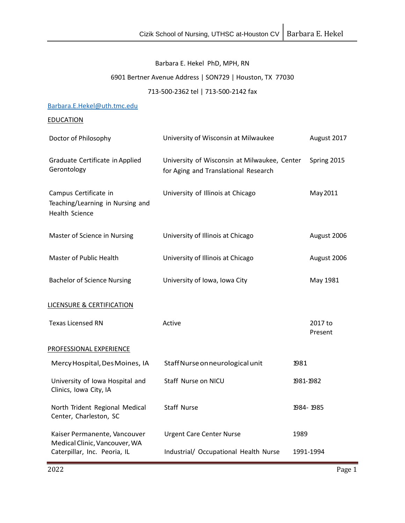# Barbara E. Hekel PhD, MPH, RN

# 6901 Bertner Avenue Address | SON729 | Houston, TX 77030

# 713-500-2362 tel | 713-500-2142 fax

## [Barbara.E.Hekel@uth.tmc.edu](mailto:Barbara.E.Hekel@uth.tmc.edu)

## **EDUCATION**

| Doctor of Philosophy                                                                          | University of Wisconsin at Milwaukee                                                 |           | August 2017        |
|-----------------------------------------------------------------------------------------------|--------------------------------------------------------------------------------------|-----------|--------------------|
| Graduate Certificate in Applied<br>Gerontology                                                | University of Wisconsin at Milwaukee, Center<br>for Aging and Translational Research |           | Spring 2015        |
| Campus Certificate in<br>Teaching/Learning in Nursing and<br><b>Health Science</b>            | University of Illinois at Chicago                                                    |           | May 2011           |
| Master of Science in Nursing                                                                  | University of Illinois at Chicago                                                    |           | August 2006        |
| Master of Public Health                                                                       | University of Illinois at Chicago                                                    |           | August 2006        |
| <b>Bachelor of Science Nursing</b>                                                            | University of Iowa, Iowa City                                                        |           | May 1981           |
| <b>LICENSURE &amp; CERTIFICATION</b>                                                          |                                                                                      |           |                    |
| <b>Texas Licensed RN</b>                                                                      | Active                                                                               |           | 2017 to<br>Present |
| PROFESSIONAL EXPERIENCE                                                                       |                                                                                      |           |                    |
| Mercy Hospital, Des Moines, IA                                                                | Staff Nurse on neurological unit                                                     | 1981      |                    |
| University of Iowa Hospital and<br>Clinics, Iowa City, IA                                     | Staff Nurse on NICU                                                                  | 1981-1982 |                    |
| North Trident Regional Medical<br>Center, Charleston, SC                                      | <b>Staff Nurse</b>                                                                   | 1984-1985 |                    |
| Kaiser Permanente, Vancouver<br>Medical Clinic, Vancouver, WA<br>Caterpillar, Inc. Peoria, IL | <b>Urgent Care Center Nurse</b>                                                      | 1989      |                    |
|                                                                                               | Industrial/ Occupational Health Nurse                                                | 1991-1994 |                    |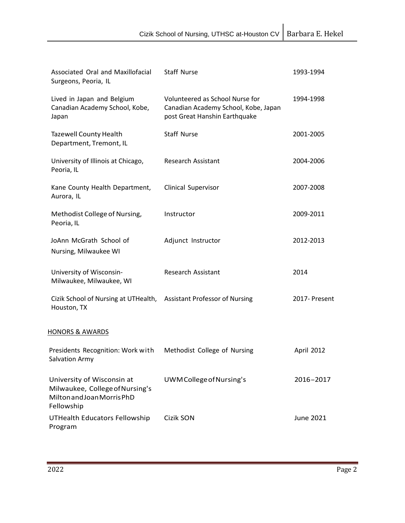| Associated Oral and Maxillofacial<br>Surgeons, Peoria, IL                                                 | <b>Staff Nurse</b>                                                                                       | 1993-1994     |
|-----------------------------------------------------------------------------------------------------------|----------------------------------------------------------------------------------------------------------|---------------|
| Lived in Japan and Belgium<br>Canadian Academy School, Kobe,<br>Japan                                     | Volunteered as School Nurse for<br>Canadian Academy School, Kobe, Japan<br>post Great Hanshin Earthquake | 1994-1998     |
| <b>Tazewell County Health</b><br>Department, Tremont, IL                                                  | <b>Staff Nurse</b>                                                                                       | 2001-2005     |
| University of Illinois at Chicago,<br>Peoria, IL                                                          | Research Assistant                                                                                       | 2004-2006     |
| Kane County Health Department,<br>Aurora, IL                                                              | Clinical Supervisor                                                                                      | 2007-2008     |
| Methodist College of Nursing,<br>Peoria, IL                                                               | Instructor                                                                                               | 2009-2011     |
| JoAnn McGrath School of<br>Nursing, Milwaukee WI                                                          | Adjunct Instructor                                                                                       | 2012-2013     |
| University of Wisconsin-<br>Milwaukee, Milwaukee, WI                                                      | Research Assistant                                                                                       | 2014          |
| Cizik School of Nursing at UTHealth,<br>Houston, TX                                                       | <b>Assistant Professor of Nursing</b>                                                                    | 2017- Present |
| <b>HONORS &amp; AWARDS</b>                                                                                |                                                                                                          |               |
| Presidents Recognition: Work with<br>Salvation Army                                                       | Methodist College of Nursing                                                                             | April 2012    |
| University of Wisconsin at<br>Milwaukee, College of Nursing's<br>Milton and Joan Morris PhD<br>Fellowship | UWM College of Nursing's                                                                                 | 2016-2017     |
| UTHealth Educators Fellowship<br>Program                                                                  | Cizik SON                                                                                                | June 2021     |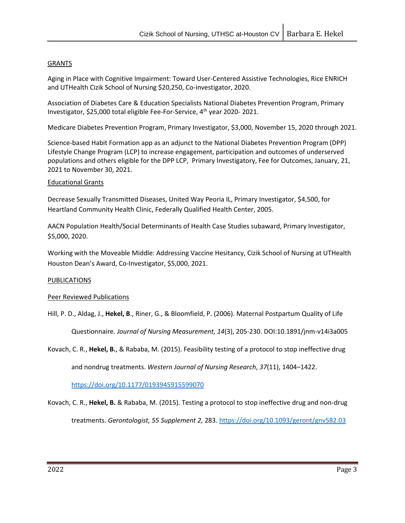### **GRANTS**

Aging in Place with Cognitive Impairment: Toward User-Centered Assistive Technologies, Rice ENRICH and UTHealth Cizik School of Nursing \$20,250, Co-investigator, 2020.

Association of Diabetes Care & Education Specialists National Diabetes Prevention Program, Primary Investigator, \$25,000 total eligible Fee-For-Service, 4th year 2020- 2021.

Medicare Diabetes Prevention Program, Primary Investigator, \$3,000, November 15, 2020 through 2021.

Science-based Habit Formation app as an adjunct to the National Diabetes Prevention Program (DPP) Lifestyle Change Program (LCP) to increase engagement, participation and outcomes of underserved populations and others eligible for the DPP LCP, Primary Investigatory, Fee for Outcomes, January, 21, 2021 to November 30, 2021.

### Educational Grants

Decrease Sexually Transmitted Diseases, United Way Peoria IL, Primary Investigator, \$4,500, for Heartland Community Health Clinic, Federally Qualified Health Center, 2005.

AACN Population Health/Social Determinants of Health Case Studies subaward, Primary Investigator, \$5,000, 2020.

Working with the Moveable Middle: Addressing Vaccine Hesitancy, Cizik School of Nursing at UTHealth Houston Dean's Award, Co-Investigator, \$5,000, 2021.

### PUBLICATIONS

### Peer Reviewed Publications

Hill, P. D., Aldag, J., **Hekel, B**., Riner, G., & Bloomfield, P. (2006). Maternal Postpartum Quality of Life

Questionnaire. *Journal of Nursing Measurement, 14*(3), 205-230. DOI:10.1891/jnm-v14i3a005

Kovach, C. R., **Hekel, B.**, & Rababa, M. (2015). Feasibility testing of a protocol to stop ineffective drug and nondrug treatments. *Western Journal of Nursing Research*, *37*(11), 1404–1422.

<https://doi.org/10.1177/0193945915599070>

Kovach, C. R., **Hekel, B.** & Rababa, M. (2015). Testing a protocol to stop ineffective drug and non-drug treatments. *Gerontologist, 55 Supplement 2,* 283. <https://doi.org/10.1093/geront/gnv582.03>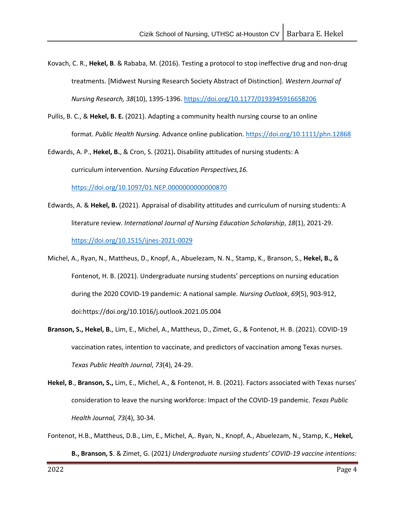Kovach, C. R., **Hekel, B**. & Rababa, M. (2016). Testing a protocol to stop ineffective drug and non-drug treatments. [Midwest Nursing Research Society Abstract of Distinction]. *Western Journal of Nursing Research, 38*(10), 1395-1396.<https://doi.org/10.1177/0193945916658206>

Pullis, B. C., & **Hekel, B. E.** (2021). Adapting a community health nursing course to an online format. *Public Health Nursing.* Advance online publication[. https://doi.org/10.1111/phn.12868](https://doi.org/10.1111/phn.12868)

Edwards, A. P., **Hekel, B.**, & Cron, S. (2021)**.** Disability attitudes of nursing students: A curriculum intervention. *Nursing Education Perspectives,16.* 

<https://doi.org/10.1097/01.NEP.0000000000000870>

- Edwards, A. & **Hekel, B.** (2021). Appraisal of disability attitudes and curriculum of nursing students: A literature review. *International Journal of Nursing Education Scholarship*, *18*(1), 2021-29. <https://doi.org/10.1515/ijnes-2021-0029>
- Michel, A., Ryan, N., Mattheus, D., Knopf, A., Abuelezam, N. N., Stamp, K., Branson, S., **Hekel, B.,** & Fontenot, H. B. (2021). Undergraduate nursing students' perceptions on nursing education during the 2020 COVID-19 pandemic: A national sample. *Nursing Outlook*, *69*(5), 903-912, doi:https://doi.org/10.1016/j.outlook.2021.05.004
- **Branson, S., Hekel, B.**, Lim, E., Michel, A., Mattheus, D., Zimet, G., & Fontenot, H. B. (2021). COVID-19 vaccination rates, intention to vaccinate, and predictors of vaccination among Texas nurses. *Texas Public Health Journal*, *73*(4), 24-29.
- **Hekel, B**., **Branson, S.,** Lim, E., Michel, A., & Fontenot, H. B. (2021). Factors associated with Texas nurses' consideration to leave the nursing workforce: Impact of the COVID-19 pandemic. *Texas Public Health Journal, 73*(4), 30-34.
- Fontenot, H.B., Mattheus, D.B., Lim, E., Michel, A,. Ryan, N., Knopf, A., Abuelezam, N., Stamp, K., **Hekel, B., Branson, S**. & Zimet, G. (2021*) Undergraduate nursing students' COVID-19 vaccine intentions:*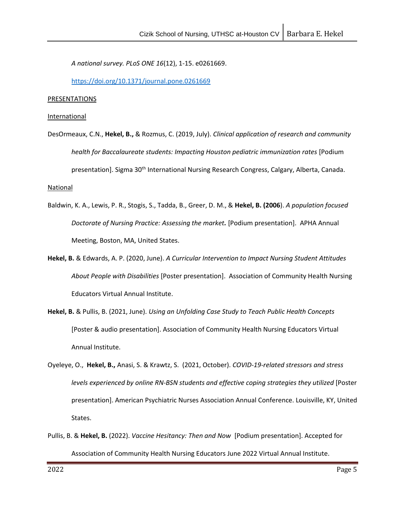*A national survey. PLoS ONE 16*(12), 1-15. e0261669.

<https://doi.org/10.1371/journal.pone.0261669>

#### PRESENTATIONS

#### **International**

DesOrmeaux, C.N., **Hekel, B.,** & Rozmus, C. (2019, July). *Clinical application of research and community health for Baccalaureate students: Impacting Houston pediatric immunization rates* [Podium presentation]. Sigma 30<sup>th</sup> International Nursing Research Congress, Calgary, Alberta, Canada.

#### National

- Baldwin, K. A., Lewis, P. R., Stogis, S., Tadda, B., Greer, D. M., & **Hekel, B. (2006**). *A population focused Doctorate of Nursing Practice: Assessing the market.* [Podium presentation]. APHA Annual Meeting, Boston, MA, United States.
- **Hekel, B.** & Edwards, A. P. (2020, June). *A Curricular Intervention to Impact Nursing Student Attitudes About People with Disabilities* [Poster presentation]. Association of Community Health Nursing Educators Virtual Annual Institute.
- **Hekel, B.** & Pullis, B. (2021, June). *Using an Unfolding Case Study to Teach Public Health Concepts*  [Poster & audio presentation]. Association of Community Health Nursing Educators Virtual Annual Institute.
- Oyeleye, O., **Hekel, B.,** Anasi, S. & Krawtz, S. (2021, October). *COVID-19-related stressors and stress levels experienced by online RN-BSN students and effective coping strategies they utilized* [Poster presentation]. American Psychiatric Nurses Association Annual Conference. Louisville, KY, United States.
- Pullis, B. & **Hekel, B.** (2022). *Vaccine Hesitancy: Then and Now* [Podium presentation]. Accepted for Association of Community Health Nursing Educators June 2022 Virtual Annual Institute.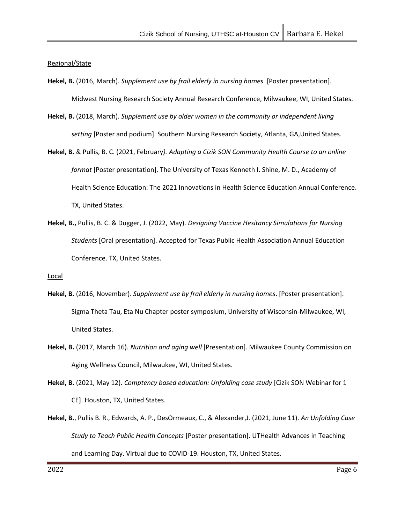### Regional/State

- **Hekel, B.** (2016, March). *Supplement use by frail elderly in nursing homes* [Poster presentation]. Midwest Nursing Research Society Annual Research Conference, Milwaukee, WI, United States.
- **Hekel, B.** (2018, March). *Supplement use by older women in the community or independent living setting* [Poster and podium]. Southern Nursing Research Society, Atlanta, GA,United States.
- **Hekel, B.** & Pullis, B. C. (2021, February*). Adapting a Cizik SON Community Health Course to an online format* [Poster presentation]. The University of Texas Kenneth I. Shine, M. D., Academy of Health Science Education: The 2021 Innovations in Health Science Education Annual Conference. TX, United States.
- **Hekel, B.,** Pullis, B. C. & Dugger, J. (2022, May). *Designing Vaccine Hesitancy Simulations for Nursing Students* [Oral presentation]. Accepted for Texas Public Health Association Annual Education Conference. TX, United States.

#### Local

- **Hekel, B.** (2016, November). *Supplement use by frail elderly in nursing homes*. [Poster presentation]. Sigma Theta Tau, Eta Nu Chapter poster symposium, University of Wisconsin-Milwaukee, WI, United States.
- **Hekel, B.** (2017, March 16). *Nutrition and aging well* [Presentation]. Milwaukee County Commission on Aging Wellness Council, Milwaukee, WI, United States.
- **Hekel, B.** (2021, May 12). *Comptency based education: Unfolding case study* [Cizik SON Webinar for 1 CE]. Houston, TX, United States.
- **Hekel, B.**, Pullis B. R., Edwards, A. P., DesOrmeaux, C., & Alexander,J. (2021, June 11). *An Unfolding Case Study to Teach Public Health Concepts* [Poster presentation]. UTHealth Advances in Teaching and Learning Day. Virtual due to COVID-19. Houston, TX, United States.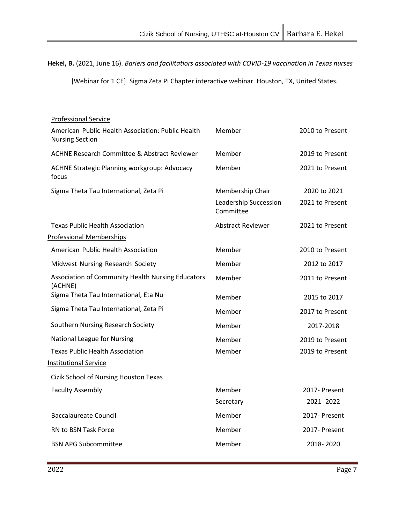**Hekel, B.** (2021, June 16). *Bariers and facilitatiors associated with COVID-19 vaccination in Texas nurses*

[Webinar for 1 CE]. Sigma Zeta Pi Chapter interactive webinar. Houston, TX, United States.

| <b>Professional Service</b>                                                 |                                    |                 |
|-----------------------------------------------------------------------------|------------------------------------|-----------------|
| American Public Health Association: Public Health<br><b>Nursing Section</b> | Member                             | 2010 to Present |
| <b>ACHNE Research Committee &amp; Abstract Reviewer</b>                     | Member                             | 2019 to Present |
| ACHNE Strategic Planning workgroup: Advocacy<br>focus                       | Member                             | 2021 to Present |
| Sigma Theta Tau International, Zeta Pi                                      | Membership Chair                   | 2020 to 2021    |
|                                                                             | Leadership Succession<br>Committee | 2021 to Present |
| <b>Texas Public Health Association</b>                                      | <b>Abstract Reviewer</b>           | 2021 to Present |
| <b>Professional Memberships</b>                                             |                                    |                 |
| American Public Health Association                                          | Member                             | 2010 to Present |
| Midwest Nursing Research Society                                            | Member                             | 2012 to 2017    |
| <b>Association of Community Health Nursing Educators</b><br>(ACHNE)         | Member                             | 2011 to Present |
| Sigma Theta Tau International, Eta Nu                                       | Member                             | 2015 to 2017    |
| Sigma Theta Tau International, Zeta Pi                                      | Member                             | 2017 to Present |
| Southern Nursing Research Society                                           | Member                             | 2017-2018       |
| <b>National League for Nursing</b>                                          | Member                             | 2019 to Present |
| <b>Texas Public Health Association</b>                                      | Member                             | 2019 to Present |
| <b>Institutional Service</b>                                                |                                    |                 |
| Cizik School of Nursing Houston Texas                                       |                                    |                 |
| <b>Faculty Assembly</b>                                                     | Member                             | 2017- Present   |
|                                                                             | Secretary                          | 2021-2022       |
| <b>Baccalaureate Council</b>                                                | Member                             | 2017- Present   |
| RN to BSN Task Force                                                        | Member                             | 2017- Present   |
| <b>BSN APG Subcommittee</b>                                                 | Member                             | 2018-2020       |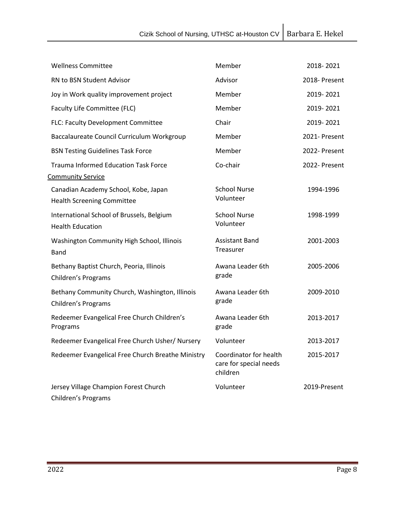| <b>Wellness Committee</b>                                                 | Member                                                       | 2018-2021     |
|---------------------------------------------------------------------------|--------------------------------------------------------------|---------------|
| RN to BSN Student Advisor                                                 | Advisor                                                      | 2018- Present |
| Joy in Work quality improvement project                                   | Member                                                       | 2019-2021     |
| Faculty Life Committee (FLC)                                              | Member                                                       | 2019-2021     |
| FLC: Faculty Development Committee                                        | Chair                                                        | 2019-2021     |
| Baccalaureate Council Curriculum Workgroup                                | Member                                                       | 2021- Present |
| <b>BSN Testing Guidelines Task Force</b>                                  | Member                                                       | 2022- Present |
| <b>Trauma Informed Education Task Force</b>                               | Co-chair                                                     | 2022- Present |
| <b>Community Service</b>                                                  |                                                              |               |
| Canadian Academy School, Kobe, Japan<br><b>Health Screening Committee</b> | <b>School Nurse</b><br>Volunteer                             | 1994-1996     |
| International School of Brussels, Belgium<br><b>Health Education</b>      | <b>School Nurse</b><br>Volunteer                             | 1998-1999     |
| Washington Community High School, Illinois<br>Band                        | <b>Assistant Band</b><br><b>Treasurer</b>                    | 2001-2003     |
| Bethany Baptist Church, Peoria, Illinois<br>Children's Programs           | Awana Leader 6th<br>grade                                    | 2005-2006     |
| Bethany Community Church, Washington, Illinois<br>Children's Programs     | Awana Leader 6th<br>grade                                    | 2009-2010     |
| Redeemer Evangelical Free Church Children's<br>Programs                   | Awana Leader 6th<br>grade                                    | 2013-2017     |
| Redeemer Evangelical Free Church Usher/ Nursery                           | Volunteer                                                    | 2013-2017     |
| Redeemer Evangelical Free Church Breathe Ministry                         | Coordinator for health<br>care for special needs<br>children | 2015-2017     |
| Jersey Village Champion Forest Church<br>Children's Programs              | Volunteer                                                    | 2019-Present  |